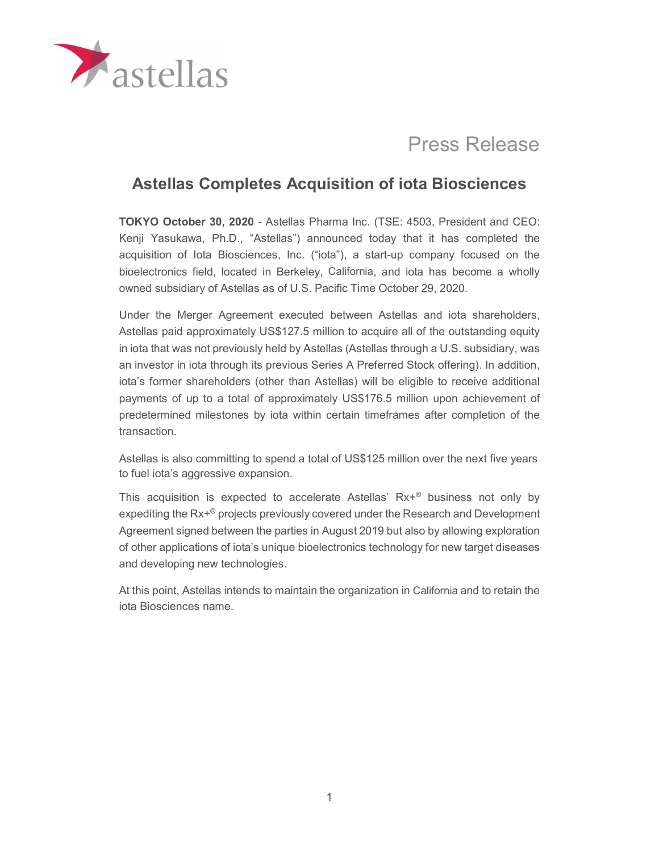

# Press Release

## Astellas Completes Acquisition of iota Biosciences

TOKYO October 30, 2020 - Astellas Pharma Inc. (TSE: 4503, President and CEO: Kenji Yasukawa, Ph.D., "Astellas") announced today that it has completed the acquisition of Iota Biosciences, Inc. ("iota"), a start-up company focused on the bioelectronics field, located in Berkeley, California, and iota has become a wholly owned subsidiary of Astellas as of U.S. Pacific Time October 29, 2020.

Under the Merger Agreement executed between Astellas and iota shareholders, Astellas paid approximately US\$127.5 million to acquire all of the outstanding equity in iota that was not previously held by Astellas (Astellas through a U.S. subsidiary, was an investor in iota through its previous Series A Preferred Stock offering). In addition, iota's former shareholders (other than Astellas) will be eligible to receive additional payments of up to a total of approximately US\$176.5 million upon achievement of predetermined milestones by iota within certain timeframes after completion of the transaction.

Astellas is also committing to spend a total of US\$125 million over the next five years to fuel iota's aggressive expansion.

This acquisition is expected to accelerate Astellas' Rx+® business not only by expediting the Rx+® projects previously covered under the Research and Development Agreement signed between the parties in August 2019 but also by allowing exploration of other applications of iota's unique bioelectronics technology for new target diseases and developing new technologies.

At this point, Astellas intends to maintain the organization in California and to retain the iota Biosciences name.